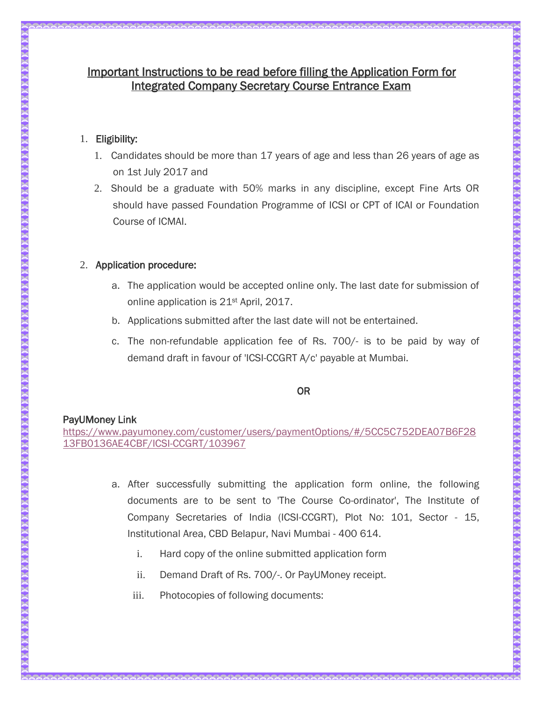# Important Instructions to be read before filling the Application Form for Integrated Company Secretary Course Entrance Exam

# 1. Eligibility:

- 1. Candidates should be more than 17 years of age and less than 26 years of age as on 1st July 2017 and
- 2. Should be a graduate with 50% marks in any discipline, except Fine Arts OR should have passed Foundation Programme of ICSI or CPT of ICAI or Foundation Course of ICMAI.

# 2. Application procedure:

- a. The application would be accepted online only. The last date for submission of online application is 21st April, 2017.
- b. Applications submitted after the last date will not be entertained.
- c. The non-refundable application fee of Rs. 700/- is to be paid by way of demand draft in favour of 'ICSI-CCGRT A/c' payable at Mumbai.

## OR

## PayUMoney Link

[https://www.payumoney.com/customer/users/paymentOptions/#/5CC5C752DEA07B6F28](https://www.payumoney.com/customer/users/paymentOptions/#/5CC5C752DEA07B6F2813FB0136AE4CBF/ICSI-CCGRT/103967) [13FB0136AE4CBF/ICSI-CCGRT/103967](https://www.payumoney.com/customer/users/paymentOptions/#/5CC5C752DEA07B6F2813FB0136AE4CBF/ICSI-CCGRT/103967)

- a. After successfully submitting the application form online, the following documents are to be sent to 'The Course Co-ordinator', The Institute of Company Secretaries of India (ICSI-CCGRT), Plot No: 101, Sector - 15, Institutional Area, CBD Belapur, Navi Mumbai - 400 614.
	- i. Hard copy of the online submitted application form
	- ii. Demand Draft of Rs. 700/-. Or PayUMoney receipt.
	- iii. Photocopies of following documents: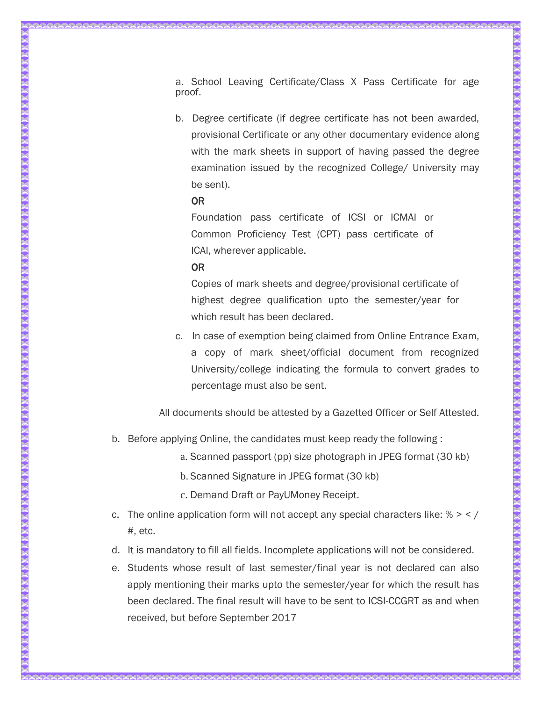a. School Leaving Certificate/Class X Pass Certificate for age proof.

b. Degree certificate (if degree certificate has not been awarded, provisional Certificate or any other documentary evidence along with the mark sheets in support of having passed the degree examination issued by the recognized College/ University may be sent).

#### OR

Foundation pass certificate of ICSI or ICMAI or Common Proficiency Test (CPT) pass certificate of ICAI, wherever applicable.

#### OR

Copies of mark sheets and degree/provisional certificate of highest degree qualification upto the semester/year for which result has been declared.

c. In case of exemption being claimed from Online Entrance Exam, a copy of mark sheet/official document from recognized University/college indicating the formula to convert grades to percentage must also be sent.

All documents should be attested by a Gazetted Officer or Self Attested.

- b. Before applying Online, the candidates must keep ready the following :
	- a. Scanned passport (pp) size photograph in JPEG format (30 kb)
	- b. Scanned Signature in JPEG format (30 kb)
	- c. Demand Draft or PayUMoney Receipt.
- c. The online application form will not accept any special characters like:  $% > < /$ #, etc.
- d. It is mandatory to fill all fields. Incomplete applications will not be considered.
- e. Students whose result of last semester/final year is not declared can also apply mentioning their marks upto the semester/year for which the result has been declared. The final result will have to be sent to ICSI-CCGRT as and when received, but before September 2017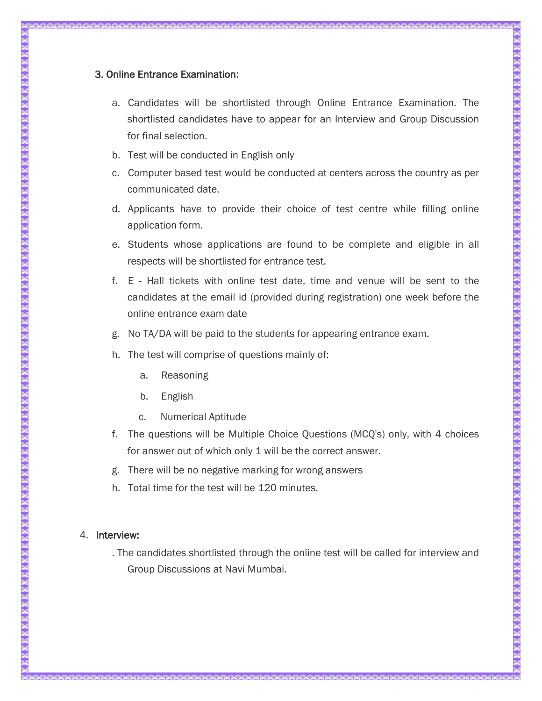# 3. Online Entrance Examination:

- a. Candidates will be shortlisted through Online Entrance Examination. The shortlisted candidates have to appear for an Interview and Group Discussion for final selection.
- b. Test will be conducted in English only
- c. Computer based test would be conducted at centers across the country as per communicated date.
- d. Applicants have to provide their choice of test centre while filling online application form.
- e. Students whose applications are found to be complete and eligible in all respects will be shortlisted for entrance test.
- f. E Hall tickets with online test date, time and venue will be sent to the candidates at the email id (provided during registration) one week before the online entrance exam date
- g. No TA/DA will be paid to the students for appearing entrance exam.
- h. The test will comprise of questions mainly of:
	- a. Reasoning
	- b. English
	- c. Numerical Aptitude
- f. The questions will be Multiple Choice Questions (MCQ's) only, with 4 choices for answer out of which only 1 will be the correct answer.
- g. There will be no negative marking for wrong answers
- h. Total time for the test will be 120 minutes.

#### 4. Interview:

. The candidates shortlisted through the online test will be called for interview and Group Discussions at Navi Mumbai.